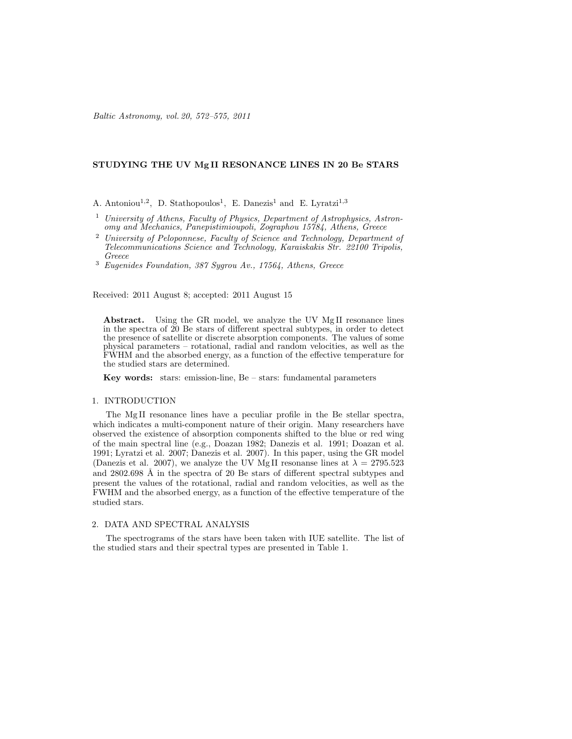Baltic Astronomy, vol. 20, 572–575, 2011

# STUDYING THE UV Mg II RESONANCE LINES IN 20 Be STARS

A. Antoniou<sup>1,2</sup>, D. Stathopoulos<sup>1</sup>, E. Danezis<sup>1</sup> and E. Lyratzi<sup>1,3</sup>

- <sup>1</sup> University of Athens, Faculty of Physics, Department of Astrophysics, Astronomy and Mechanics, Panepistimioupoli, Zographou 15784, Athens, Greece
- $2$  University of Peloponnese, Faculty of Science and Technology, Department of Telecommunications Science and Technology, Karaiskakis Str. 22100 Tripolis, Greece

<sup>3</sup> Eugenides Foundation, 387 Sygrou Av., 17564, Athens, Greece

Received: 2011 August 8; accepted: 2011 August 15

Abstract. Using the GR model, we analyze the UV MgII resonance lines in the spectra of 20 Be stars of different spectral subtypes, in order to detect the presence of satellite or discrete absorption components. The values of some physical parameters – rotational, radial and random velocities, as well as the FWHM and the absorbed energy, as a function of the effective temperature for the studied stars are determined.

Key words: stars: emission-line, Be – stars: fundamental parameters

### 1. INTRODUCTION

The Mg II resonance lines have a peculiar profile in the Be stellar spectra, which indicates a multi-component nature of their origin. Many researchers have observed the existence of absorption components shifted to the blue or red wing of the main spectral line (e.g., Doazan 1982; Danezis et al. 1991; Doazan et al. 1991; Lyratzi et al. 2007; Danezis et al. 2007). In this paper, using the GR model (Danezis et al. 2007), we analyze the UV Mg II resonanse lines at  $\lambda = 2795.523$ and  $2802.698$  Å in the spectra of 20 Be stars of different spectral subtypes and present the values of the rotational, radial and random velocities, as well as the FWHM and the absorbed energy, as a function of the effective temperature of the studied stars.

## 2. DATA AND SPECTRAL ANALYSIS

The spectrograms of the stars have been taken with IUE satellite. The list of the studied stars and their spectral types are presented in Table 1.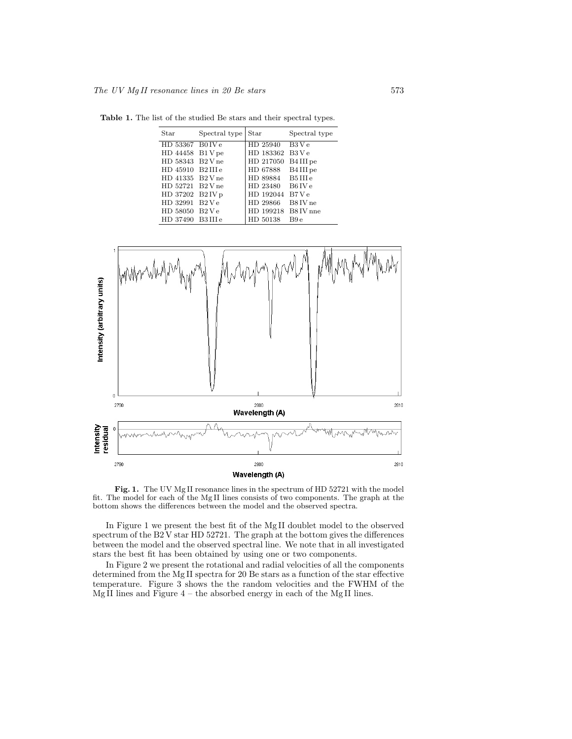Table 1. The list of the studied Be stars and their spectral types.

| $_{\mbox{Star}}$ | Spectral type | Star                | Spectral type         |
|------------------|---------------|---------------------|-----------------------|
| HD 53367 B0 IV e |               | HD 25940            | B3Ve                  |
| HD 44458 B1 V pe |               | HD 183362           | B3 V e                |
| HD 58343 B2 V ne |               | HD 217050           | B4 III pe             |
| HD 45910 B2IIIe  |               | HD 67888            | B <sub>4</sub> III pe |
| HD 41335 B2 V ne |               | HD 89884 B5 III e   |                       |
| HD 52721 B2 V ne |               | HD 23480            | B6 IV e               |
| HD 37202 B2 IV p |               | HD 192044 B7 Ve     |                       |
| HD 32991 B2 Ve   |               | HD 29866            | B8 IV ne              |
| HD 58050 B2 V e  |               | HD 199218 B8 IV nne |                       |
| HD 37490 B3IIIe  |               | HD 50138            | B9 e                  |



Fig. 1. The UV Mg II resonance lines in the spectrum of HD 52721 with the model fit. The model for each of the Mg II lines consists of two components. The graph at the bottom shows the differences between the model and the observed spectra.

In Figure 1 we present the best fit of the Mg II doublet model to the observed spectrum of the B2 V star HD 52721. The graph at the bottom gives the differences between the model and the observed spectral line. We note that in all investigated stars the best fit has been obtained by using one or two components.

In Figure 2 we present the rotational and radial velocities of all the components determined from the Mg II spectra for 20 Be stars as a function of the star effective temperature. Figure 3 shows the the random velocities and the FWHM of the Mg II lines and Figure  $4$  – the absorbed energy in each of the Mg II lines.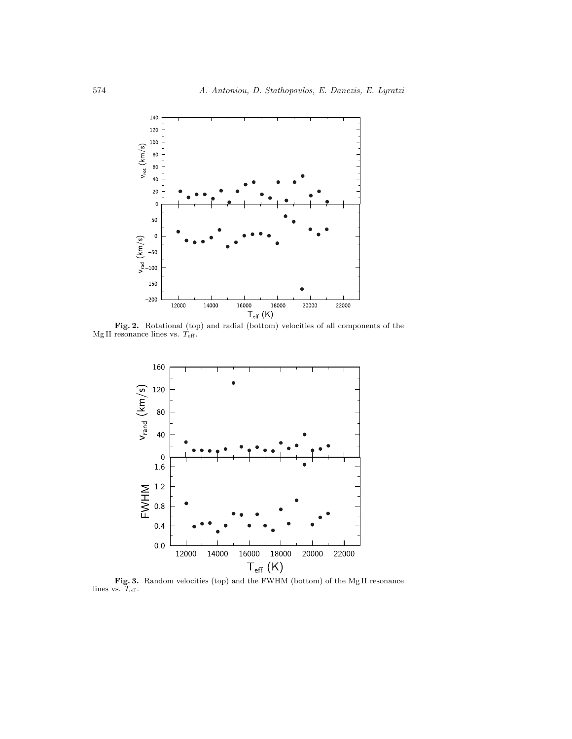

**Fig. 2.** Rotational (top) and radial (bottom) velocities of all components of the Mg II resonance lines vs.  $T_{\text{eff}}$ .



**Fig. 3.** Random velocities (top) and the FWHM (bottom) of the Mg II resonance lines vs.  $T_{\text{eff}}$ .